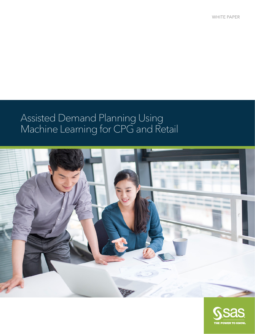WHITE PAPER

## moor.<br>Ndoo Assisted Demand Planning Using Machine Learning for CPG and Retail



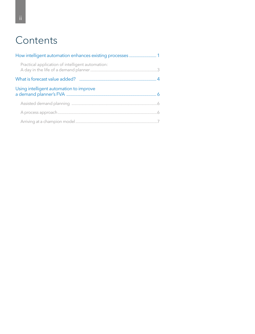# **Contents**

| Practical application of intelligent automation: |  |
|--------------------------------------------------|--|
|                                                  |  |
| Using intelligent automation to improve          |  |
|                                                  |  |
|                                                  |  |
|                                                  |  |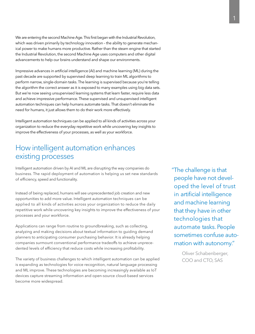<span id="page-2-0"></span>We are entering the second Machine Age. This first began with the Industrial Revolution, which was driven primarily by technology innovation - the ability to generate mechanical power to make humans more productive. Rather than the steam engine that started the Industrial Revolution, the second Machine Age uses computers and other digital advancements to help our brains understand and shape our environments.

Impressive advances in [artificial intelligence](https://www.sas.com/en_us/solutions/ai.html) (AI) an[d machine learning](https://www.sas.com/en_us/insights/analytics/machine-learning.html) (ML) during the past decade are supported by supervised [deep learning](https://www.sas.com/en_us/insights/analytics/deep-learning.html) to train ML algorithms to perform narrow, single-domain tasks. The learning is supervised because you're telling the algorithm the correct answer as it is exposed to many examples using big data sets. But we're now seeing unsupervised learning systems that learn faster, require less data and achieve impressive performance. These supervised and unsupervised intelligent automation techniques can help humans automate tasks. That doesn't eliminate the need for humans, it just allows them to do their work more effectively.

Intelligent automation techniques can be applied to all kinds of activities across your organization to reduce the everyday repetitive work while uncovering key insights to improve the effectiveness of your processes, as well as your workforce.

## How intelligent automation enhances existing processes

Intelligent automation driven by AI and ML are disrupting the way companies do business. The rapid deployment of automation is helping us set new standards of efficiency, speed and functionality.

Instead of being replaced, humans will see unprecedented job creation and new opportunities to add more value. Intelligent automation techniques can be applied to all kinds of activities across your organization to reduce the daily repetitive work while uncovering key insights to improve the effectiveness of your processes and your workforce.

Applications can range from routine to groundbreaking, such as collecting, analyzing and making decisions about textual information to guiding demand planners to anticipating consumer purchasing behavior. It is already helping companies surmount conventional performance tradeoffs to achieve unprecedented levels of efficiency that reduce costs while increasing profitability.

The variety of business challenges to which intelligent automation can be applied is expanding as technologies for voice recognition, natural language processing and ML improve. These technologies are becoming increasingly available as IoT devices capture streaming information and open-source cloud-based services become more widespread.

"The challenge is that people have not developed the level of trust in [artificial intelligence](https://www.sas.com/en_us/insights/analytics/what-is-artificial-intelligence.html) and machine learning that they have in other technologies that automate tasks. People sometimes confuse automation with autonomy."

> Oliver Schabenberger, COO and CTO, SAS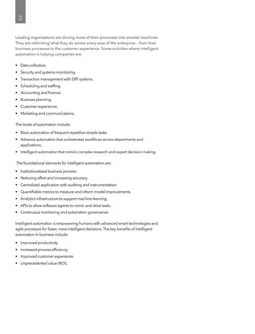Leading organizations are driving more of their processes into smarter machines. They are rethinking what they do across every area of the enterprise – from their business processes to the customer experience. Some activities where intelligent automation is helping companies are:

- Data collection.
- Security and systems monitoring.
- Transaction management with ERP systems.
- Scheduling and staffing.
- Accounting and finance.
- Business planning.
- Customer experience.
- Marketing and communications.

The levels of automation include:

- Basic automation of frequent repetitive simple tasks.
- Advance automation that orchestrates workflows across departments and applications.
- Intelligent automation that mimics complex research and expert decision making.

The foundational elements for intelligent automation are:

- Institutionalized business process.
- Reducing effort and increasing accuracy.
- Centralized application with auditing and instrumentation.
- Quantifiable metrics to measure and inform model improvements.
- Analytics infrastructure to support machine learning.
- APIs to allow software agents to mimic and drive tasks.
- Continuous monitoring and automation governance.

Intelligent automation is empowering humans with advanced smart technologies and agile processes for faster, more intelligent decisions. The key benefits of intelligent automation in business include:

- Improved productivity.
- Increased process efficiency.
- Improved customer experience.
- Unprecedented value (ROI).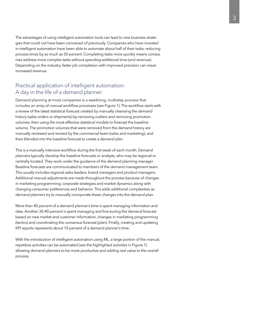<span id="page-4-0"></span>The advantages of using intelligent automation tools can lead to new business strategies that could not have been conceived of previously. Companies who have invested in intelligent automation have been able to automate about half of their tasks, reducing process times by as much as 50 percent. Completing tasks more quickly means companies address more complex tasks without spending additional time (and revenue). Depending on the industry, faster job completion with improved precision can mean increased revenue.

### Practical application of intelligent automation: A day in the life of a demand planner

Demand planning at most companies is a weeklong, multistep process that includes an array of manual workflow processes (see Figure 1). The workflow starts with a review of the latest statistical forecast created by manually cleansing the demand history (sales orders or shipments) by removing outliers and removing promotion volumes, then using the most effective statistical models to forecast the baseline volume. The promotion volumes that were removed from the demand history are manually reviewed and revised by the commercial team (sales and marketing), and then blended into the baseline forecast to create a demand plan.

This is a manually intensive workflow during the first week of each month. Demand planners typically develop the baseline forecasts or analysts, who may be regional or centrally located. They work under the guidance of the demand planning manager. Baseline forecasts are communicated to members of the demand management team. This usually includes regional sales leaders, brand managers and product managers. Additional manual adjustments are made throughout the process because of changes in marketing programming, corporate strategies and market dynamics along with changing consumer preferences and behavior. This adds additional complexities as demand planners try to manually incorporate these changes into the demand plan.

More than 40 percent of a demand planner's time is spent managing information and data. Another 30-40 percent is spent managing and fine-tuning the demand forecast based on new market and customer information, changes in marketing programming (tactics) and coordinating the consensus forecast (plan). Finally, creating and updating KPI reports represents about 10 percent of a demand planner's time.

With the introduction of intelligent automation using ML, a large portion of the manual, repetitive activities can be automated (see the highlighted activities in Figure 1) allowing demand planners to be more productive and adding real value to the overall process.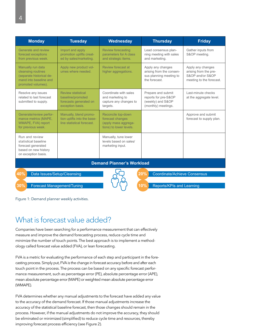<span id="page-5-0"></span>

| <b>Monday</b>                                                                                                       | <b>Tuesday</b>                                                                               | Wednesday                                                                                                                                                                 | <b>Thursday</b>                                                                           | <b>Friday</b>                                                                              |  |
|---------------------------------------------------------------------------------------------------------------------|----------------------------------------------------------------------------------------------|---------------------------------------------------------------------------------------------------------------------------------------------------------------------------|-------------------------------------------------------------------------------------------|--------------------------------------------------------------------------------------------|--|
| Generate and review<br>forecast exceptions<br>from previous week.                                                   | Import and apply<br>promotion uplifts creat-<br>ed by sales/marketing.                       | <b>Review forecasting</b><br>Lead consensus plan-<br>parameters for A class<br>ning meeting with sales<br>and strategic items.<br>and marketing.                          |                                                                                           | Gather inputs from<br>S&OP meeting.                                                        |  |
| Manually run data<br>cleansing routines<br>(separate historical de-<br>mand into baseline and<br>promoted volumes). | Apply new product vol-<br>umes where needed.                                                 | Review forecast at<br>higher aggregations.                                                                                                                                | Apply any changes<br>arising from the consen-<br>sus planning meeting to<br>the forecast. | Apply any changes<br>arising from the pre-<br>S&OP and/or S&OP<br>meeting to the forecast. |  |
| Resolve any issues<br>related to last forecast<br>submitted to supply.                                              | <b>Review statistical</b><br>baseline/promoted<br>forecasts generated on<br>exception basis. | Coordinate with sales<br>Prepare and submit<br>reports for pre-S&OP<br>and marketing to<br>(weekly) and S&OP<br>capture any changes to<br>(monthly) meetings.<br>targets. |                                                                                           | Last-minute checks<br>at the aggregate level.                                              |  |
| Generate/review perfor-<br>mance metrics (MAPE,<br>WMAPE, FVA) report<br>for previous week.                         | Manually, blend promo-<br>tion uplifts into the base-<br>line statistical forecast.          | Reconcile top-down<br>forecast changes<br>(apply mass aggrega-<br>tions) to lower levels.                                                                                 |                                                                                           | Approve and submit<br>forecast to supply plan.                                             |  |
| Run and review<br>statistical baseline<br>forecast generated<br>based on new history<br>on exception basis.         |                                                                                              | Manually, tune lower<br>levels based on sales/<br>marketing input.                                                                                                        |                                                                                           |                                                                                            |  |
| <b>Demand Planner's Workload</b>                                                                                    |                                                                                              |                                                                                                                                                                           |                                                                                           |                                                                                            |  |
| 40%<br>20%<br><b>Coordinate/Achieve Consensus</b><br>Data Issues/Setup/Cleansing                                    |                                                                                              |                                                                                                                                                                           |                                                                                           |                                                                                            |  |

**30% Forecast Management/Tuning**  $\bigcup \{ \}$  **(10%) Reports/KPIs and Learning** 



Figure 1: Demand planner weekly activities.

## What is forecast value added?

Companies have been searching for a performance measurement that can effectively measure and improve the demand forecasting process, reduce cycle time and minimize the number of touch points. The best approach is to implement a methodology called forecast value added (FVA), or lean forecasting.

FVA is a metric for evaluating the performance of each step and participant in the forecasting process. Simply put, FVA is the change in forecast accuracy before and after each touch point in the process. The process can be based on any specific forecast performance measurement, such as percentage error (PE), absolute percentage error (APE), mean absolute percentage error (MAPE) or weighted mean absolute percentage error (WMAPE).

FVA determines whether any manual adjustments to the forecast have added any value to the accuracy of the demand forecast. If those manual adjustments increase the accuracy of the statistical baseline forecast, then those changes should remain in the process. However, if the manual adjustments do not improve the accuracy, they should be eliminated or minimized (simplified) to reduce cycle time and resources, thereby improving forecast process efficiency (see Figure 2).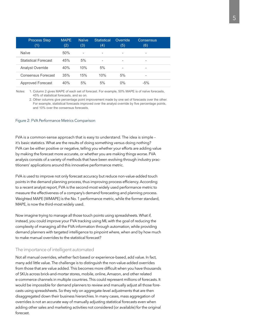| <b>Process Step</b><br>(1)  | <b>MAPE</b><br>(2) | <b>Naïve</b><br>(3) | <b>Statistical</b><br>(4) | Override<br>(5) | Consensus<br>(6) |  |
|-----------------------------|--------------------|---------------------|---------------------------|-----------------|------------------|--|
| Naïve                       | 50%                | -                   | -                         |                 | -                |  |
| <b>Statistical Forecast</b> | 45%                | 5%                  | -                         | -               | -                |  |
| <b>Analyst Override</b>     | 40%                | 10%                 | 5%                        | ۰               | -                |  |
| Consensus Forecast          | 35%                | 15%                 | 10%                       | 5%              | -                |  |
| Approved Forecast           | 40%                | 5%                  | 5%                        | $0\%$           | $-5%$            |  |

Notes: 1. Column 2 gives MAPE of each set of forecast. For example, 50% MAPE is of naïve forecasts, 45% of statistical forecasts, and so on.

2. Other columns give percentage point improvement made by one set of forecasts over the other. For example, statistical forecasts improved over the analyst override by five percentage points, and 10% over the consensus forecasts.

#### Figure 2: FVA Performance Metrics Comparison

FVA is a common-sense approach that is easy to understand. The idea is simple – it's basic statistics. What are the results of doing something versus doing nothing? FVA can be either positive or negative, telling you whether your efforts are adding value by making the forecast more accurate, or whether you are making things worse. FVA analysis consists of a variety of methods that have been evolving through industry practitioners' applications around this innovative performance metric.

FVA is used to improve not only forecast accuracy but reduce non-value-added touch points in the demand planning process, thus improving process efficiency. According to a recent analyst report, FVA is the second-most widely used performance metric to measure the effectiveness of a company's demand forecasting and planning process. Weighted MAPE (WMAPE) is the No. 1 performance metric, while the former standard, MAPE, is now the third-most widely used.

Now imagine trying to manage all those touch points using spreadsheets. What if, instead, you could improve your FVA tracking using ML with the goal of reducing the complexity of managing all the FVA information through automation, while providing demand planners with targeted intelligence to pinpoint where, when and by how much to make manual overrides to the statistical forecast?

#### The importance of intelligent automated

Not all manual overrides, whether fact-based or experience-based, add value. In fact, many add little value. The challenge is to distinguish the non-value-added overrides from those that are value added. This becomes more difficult when you have thousands of SKUs across brick-and-mortar stores, mobile, online, Amazon, and other related e-commerce channels in multiple countries. This could represent millions of forecasts. It would be impossible for demand planners to review and manually adjust all those forecasts using spreadsheets. So they rely on aggregate-level adjustments that are then disaggregated down their business hierarchies. In many cases, mass aggregation of overrides is not an accurate way of manually adjusting statistical forecasts even when adding other sales and marketing activities not considered (or available) for the original forecast.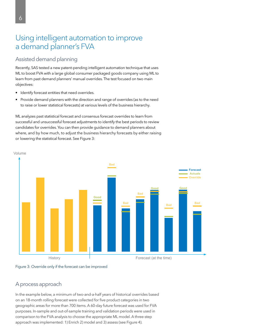## <span id="page-7-0"></span>Using intelligent automation to improve a demand planner's FVA

### Assisted demand planning

Recently, SAS tested a new patent-pending intelligent automation technique that uses ML to boost FVA with a large global consumer packaged goods company using ML to learn from past demand planners' manual overrides. The test focused on two main objectives:

- Identify forecast entities that need overrides.
- Provide demand planners with the direction and range of overrides (as to the need to raise or lower statistical forecasts) at various levels of the business hierarchy.

ML analyzes past statistical forecast and consensus forecast overrides to learn from successful and unsuccessful forecast adjustments to identify the best periods to review candidates for overrides. You can then provide guidance to demand planners about where, and by how much, to adjust the business hierarchy forecasts by either raising or lowering the statistical forecast. See Figure 3:





### A process approach

In the example below, a minimum of two-and-a-half years of historical overrides based on an 18-month rolling forecast were collected for five product categories in two geographic areas for more than 700 items. A 60-day future forecast was used for FVA purposes. In-sample and out-of-sample training and validation periods were used in comparison to the FVA analysis to choose the appropriate ML model. A three-step approach was implemented: 1) Enrich 2) model and 3) assess (see Figure 4).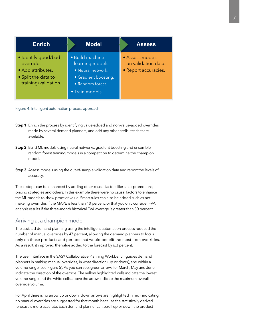<span id="page-8-0"></span>

| <b>Enrich</b>                                                                                         | <b>Model</b>                                                                                                            | <b>Assess</b>                                                  |
|-------------------------------------------------------------------------------------------------------|-------------------------------------------------------------------------------------------------------------------------|----------------------------------------------------------------|
| · Identify good/bad<br>overrides.<br>• Add attributes.<br>• Split the data to<br>training/validation. | · Build machine<br>learning models.<br>• Neural network.<br>• Gradient boosting.<br>• Random forest.<br>• Train models. | • Assess models<br>on validation data.<br>• Report accuracies. |

Figure 4: Intelligent automation process approach

- Step 1: Enrich the process by identifying value-added and non-value-added overrides made by several demand planners, and add any other attributes that are available.
- Step 2: Build ML models using neural networks, gradient boosting and ensemble random forest training models in a competition to determine the champion model.
- Step 3: Assess models using the out-of-sample validation data and report the levels of accuracy.

These steps can be enhanced by adding other causal factors like sales promotions, pricing strategies and others. In this example there were no causal factors to enhance the ML models to show proof of value. Smart rules can also be added such as not makeing overrides if the MAPE is less than 10 percent, or that you only consider FVA analysis results if the three-month historical FVA average is greater than 30 percent.

### Arriving at a champion model

The assisted demand planning using the intelligent automation process reduced the number of manual overrides by 47 percent, allowing the demand planners to focus only on those products and periods that would benefit the most from overrides. As a result, it improved the value added to the forecast by 6.3 percent.

The user interface in the SAS® Collaborative Planning Workbench guides demand planners in making manual overrides, in what direction (up or down), and within a volume range (see Figure 5). As you can see, green arrows for March, May and June indicate the direction of the override. The yellow highlighted cells indicate the lowest volume range and the white cells above the arrow indicate the maximum overall override volume.

For April there is no arrow up or down (down arrows are highlighted in red), indicating no manual overrides are suggested for that month because the statistically derived forecast is more accurate. Each demand planner can scroll up or down the product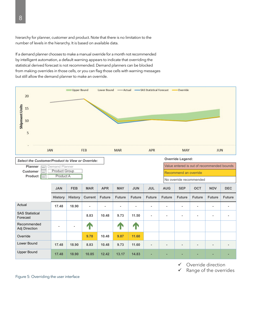hierarchy for planner, customer and product. Note that there is no limitation to the number of levels in the hierarchy. It is based on available data.

If a demand planner chooses to make a manual override for a month not recommended by intelligent automation, a default warning appears to indicate that overriding the statistical derived forecast is not recommended. Demand planners can be blocked from making overrides in those cells, or you can flag those cells with warning messages but still allow the demand planner to make an override.



- Override direction ✓
- Range of the overrides ✓

Figure 5: Overriding the user interface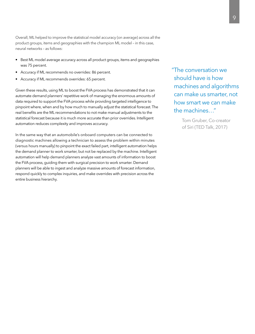Overall, ML helped to improve the statistical model accuracy (on average) across all the product groups, items and geographies with the champion ML model - in this case, neural networks - as follows:

- Best ML model average accuracy across all product groups, items and geographies was 75 percent.
- Accuracy if ML recommends no overrides: 86 percent.  $\bullet$
- Accuracy if ML recommends overrides: 65 percent.

Given these results, using ML to boost the FVA process has demonstrated that it can automate demand planners' repetitive work of managing the enormous amounts of data required to support the FVA process while providing targeted intelligence to pinpoint where, when and by how much to manually adjust the statistical forecast. The real benefits are the ML recommendations to not make manual adjustments to the statistical forecast because it is much more accurate than prior overrides. Intelligent automation reduces complexity and improves accuracy.

In the same way that an automobile's onboard computers can be connected to diagnostic machines allowing a technician to assess the problem within minutes (versus hours manually) to pinpoint the exact failed part, intelligent automation helps the demand planner to work smarter, but not be replaced by the machine. Intelligent automation will help demand planners analyze vast amounts of information to boost the FVA process, guiding them with surgical precision to work smarter. Demand planners will be able to ingest and analyze massive amounts of forecast information, respond quickly to complex inquiries, and make overrides with precision across the entire business hierarchy.

"The conversation we should have is how machines and algorithms can make us smarter, not how smart we can make the machines..."

> Tom Gruber, Co-creator of Siri (TED Talk, 2017)